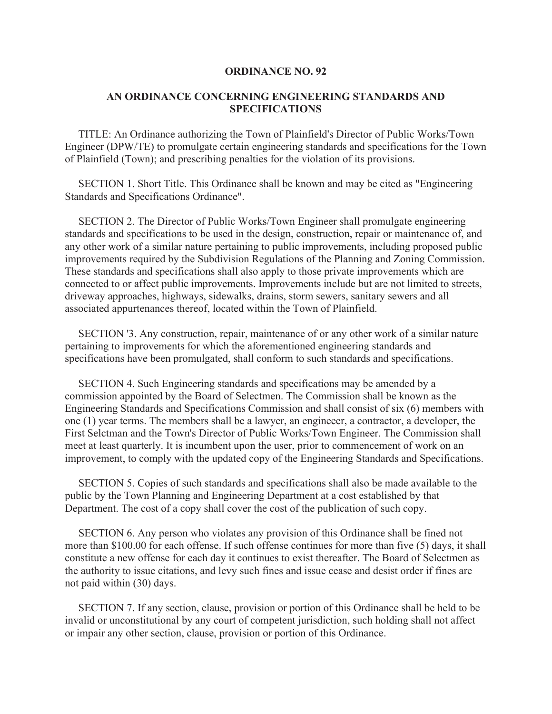## **ORDINANCE NO. 92**

## **AN ORDINANCE CONCERNING ENGINEERING STANDARDS AND SPECIFICATIONS**

 TITLE: An Ordinance authorizing the Town of Plainfield's Director of Public Works/Town Engineer (DPW/TE) to promulgate certain engineering standards and specifications for the Town of Plainfield (Town); and prescribing penalties for the violation of its provisions.

 SECTION 1. Short Title. This Ordinance shall be known and may be cited as "Engineering Standards and Specifications Ordinance".

 SECTION 2. The Director of Public Works/Town Engineer shall promulgate engineering standards and specifications to be used in the design, construction, repair or maintenance of, and any other work of a similar nature pertaining to public improvements, including proposed public improvements required by the Subdivision Regulations of the Planning and Zoning Commission. These standards and specifications shall also apply to those private improvements which are connected to or affect public improvements. Improvements include but are not limited to streets, driveway approaches, highways, sidewalks, drains, storm sewers, sanitary sewers and all associated appurtenances thereof, located within the Town of Plainfield.

 SECTION '3. Any construction, repair, maintenance of or any other work of a similar nature pertaining to improvements for which the aforementioned engineering standards and specifications have been promulgated, shall conform to such standards and specifications.

 SECTION 4. Such Engineering standards and specifications may be amended by a commission appointed by the Board of Selectmen. The Commission shall be known as the Engineering Standards and Specifications Commission and shall consist of six (6) members with one (1) year terms. The members shall be a lawyer, an engineeer, a contractor, a developer, the First Selctman and the Town's Director of Public Works/Town Engineer. The Commission shall meet at least quarterly. It is incumbent upon the user, prior to commencement of work on an improvement, to comply with the updated copy of the Engineering Standards and Specifications.

 SECTION 5. Copies of such standards and specifications shall also be made available to the public by the Town Planning and Engineering Department at a cost established by that Department. The cost of a copy shall cover the cost of the publication of such copy.

 SECTION 6. Any person who violates any provision of this Ordinance shall be fined not more than \$100.00 for each offense. If such offense continues for more than five (5) days, it shall constitute a new offense for each day it continues to exist thereafter. The Board of Selectmen as the authority to issue citations, and levy such fines and issue cease and desist order if fines are not paid within (30) days.

 SECTION 7. If any section, clause, provision or portion of this Ordinance shall be held to be invalid or unconstitutional by any court of competent jurisdiction, such holding shall not affect or impair any other section, clause, provision or portion of this Ordinance.